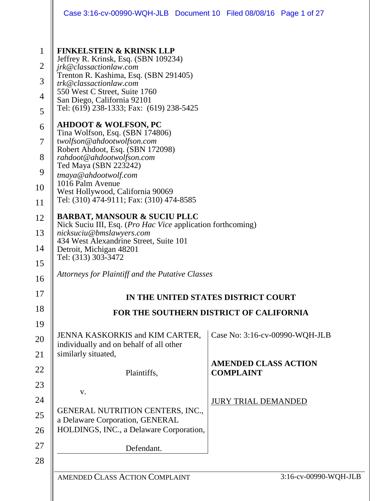|                                                            | Case 3:16-cv-00990-WQH-JLB Document 10 Filed 08/08/16 Page 1 of 27                                                                                                                                                                                                                   |                                                 |                                |
|------------------------------------------------------------|--------------------------------------------------------------------------------------------------------------------------------------------------------------------------------------------------------------------------------------------------------------------------------------|-------------------------------------------------|--------------------------------|
| $\mathbf{1}$<br>$\overline{2}$<br>3<br>$\overline{4}$<br>5 | <b>FINKELSTEIN &amp; KRINSK LLP</b><br>Jeffrey R. Krinsk, Esq. (SBN 109234)<br>jrk@classactionlaw.com<br>Trenton R. Kashima, Esq. (SBN 291405)<br>trk@classactionlaw.com<br>550 West C Street, Suite 1760<br>San Diego, California 92101<br>Tel: (619) 238-1333; Fax: (619) 238-5425 |                                                 |                                |
| 6<br>7                                                     | <b>AHDOOT &amp; WOLFSON, PC</b><br>Tina Wolfson, Esq. (SBN 174806)<br>twolfson@ahdootwolfson.com                                                                                                                                                                                     |                                                 |                                |
| 8<br>9                                                     | Robert Ahdoot, Esq. (SBN 172098)<br>rahdoot@ahdootwolfson.com<br>Ted Maya (SBN 223242)<br>tmaya@ahdootwolf.com                                                                                                                                                                       |                                                 |                                |
| 10<br>11                                                   | 1016 Palm Avenue<br>West Hollywood, California 90069<br>Tel: (310) 474-9111; Fax: (310) 474-8585                                                                                                                                                                                     |                                                 |                                |
| 12                                                         | <b>BARBAT, MANSOUR &amp; SUCIU PLLC</b><br>Nick Suciu III, Esq. ( <i>Pro Hac Vice</i> application forthcoming)                                                                                                                                                                       |                                                 |                                |
| 13<br>14                                                   | nicksuciu@bmslawyers.com<br>434 West Alexandrine Street, Suite 101<br>Detroit, Michigan 48201<br>Tel: (313) 303-3472                                                                                                                                                                 |                                                 |                                |
| 15<br>16                                                   | Attorneys for Plaintiff and the Putative Classes                                                                                                                                                                                                                                     |                                                 |                                |
| 17                                                         | IN THE UNITED STATES DISTRICT COURT                                                                                                                                                                                                                                                  |                                                 |                                |
| 18                                                         | FOR THE SOUTHERN DISTRICT OF CALIFORNIA                                                                                                                                                                                                                                              |                                                 |                                |
| 19<br>20<br>21                                             | JENNA KASKORKIS and KIM CARTER,<br>individually and on behalf of all other<br>similarly situated,                                                                                                                                                                                    |                                                 | Case No: 3:16-cv-00990-WQH-JLB |
| 22                                                         | Plaintiffs,                                                                                                                                                                                                                                                                          | <b>AMENDED CLASS ACTION</b><br><b>COMPLAINT</b> |                                |
| 23                                                         | V.                                                                                                                                                                                                                                                                                   |                                                 |                                |
| 24<br>25<br>26                                             | <b>GENERAL NUTRITION CENTERS, INC.,</b><br>a Delaware Corporation, GENERAL<br>HOLDINGS, INC., a Delaware Corporation,                                                                                                                                                                | <b>JURY TRIAL DEMANDED</b>                      |                                |
| 27                                                         | Defendant.                                                                                                                                                                                                                                                                           |                                                 |                                |
| 28                                                         | AMENDED CLASS ACTION COMPLAINT                                                                                                                                                                                                                                                       |                                                 | 3:16-cv-00990-WQH-JLB          |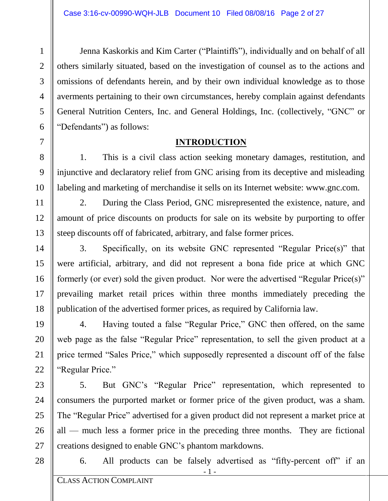Jenna Kaskorkis and Kim Carter ("Plaintiffs"), individually and on behalf of all others similarly situated, based on the investigation of counsel as to the actions and omissions of defendants herein, and by their own individual knowledge as to those averments pertaining to their own circumstances, hereby complain against defendants General Nutrition Centers, Inc. and General Holdings, Inc. (collectively, "GNC" or "Defendants") as follows:

### **INTRODUCTION**

1. This is a civil class action seeking monetary damages, restitution, and injunctive and declaratory relief from GNC arising from its deceptive and misleading labeling and marketing of merchandise it sells on its Internet website: www.gnc.com.

2. During the Class Period, GNC misrepresented the existence, nature, and amount of price discounts on products for sale on its website by purporting to offer steep discounts off of fabricated, arbitrary, and false former prices.

3. Specifically, on its website GNC represented "Regular Price(s)" that were artificial, arbitrary, and did not represent a bona fide price at which GNC formerly (or ever) sold the given product. Nor were the advertised "Regular Price(s)" prevailing market retail prices within three months immediately preceding the publication of the advertised former prices, as required by California law.

4. Having touted a false "Regular Price," GNC then offered, on the same web page as the false "Regular Price" representation, to sell the given product at a price termed "Sales Price," which supposedly represented a discount off of the false "Regular Price."

5. But GNC's "Regular Price" representation, which represented to consumers the purported market or former price of the given product, was a sham. The "Regular Price" advertised for a given product did not represent a market price at all — much less a former price in the preceding three months. They are fictional creations designed to enable GNC's phantom markdowns.

28

27

1

2

3

4

5

6

7

8

9

10

11

12

13

14

15

16

17

18

19

20

21

22

23

24

25

26

6. All products can be falsely advertised as "fifty-percent off" if an

- 1 - - 1 -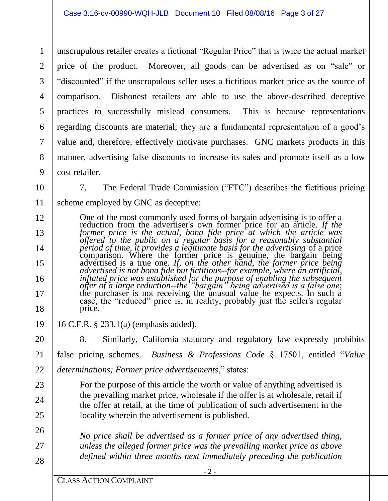1 2 3 4 5 6 7 8 9 unscrupulous retailer creates a fictional "Regular Price" that is twice the actual market price of the product. Moreover, all goods can be advertised as on "sale" or "discounted" if the unscrupulous seller uses a fictitious market price as the source of comparison. Dishonest retailers are able to use the above-described deceptive practices to successfully mislead consumers. This is because representations regarding discounts are material; they are a fundamental representation of a good's value and, therefore, effectively motivate purchases. GNC markets products in this manner, advertising false discounts to increase its sales and promote itself as a low cost retailer.

10

11

12

13

14

15

16

17

18

19

20

21

23

24

25

26

27

28

7. The Federal Trade Commission ("FTC") describes the fictitious pricing scheme employed by GNC as deceptive:

One of the most commonly used forms of bargain advertising is to offer a reduction from the advertiser's own former price for an article. *If the former price is the actual, bona fide price* at which the article was *offered to the public on a regular basis for a reasonably substantial period of time, it provides a legitimate basis for the advertising* of a price comparison. Where the former price is genuine, the bargain being advertised is a true one. *If, on the other hand, the former price being advertised is not bona fide but fictitious--for example, where an artificial, inflated price was established for the purpose of enabling the subsequent offer of a large reduction--the "bargain" being advertised is a false one*; the purchaser is not receiving the unusual value he expects. In such a case, the "reduced" price is, in reality, probably just the seller's regular price.

16 C.F.R. § 233.1(a) (emphasis added).

8. Similarly, California statutory and regulatory law expressly prohibits false pricing schemes. *Business & Professions Code* § 17501, entitled "*Value* 

22 *determinations; Former price advertisements*," states:

> For the purpose of this article the worth or value of anything advertised is the prevailing market price, wholesale if the offer is at wholesale, retail if the offer at retail, at the time of publication of such advertisement in the locality wherein the advertisement is published.

*No price shall be advertised as a former price of any advertised thing, unless the alleged former price was the prevailing market price as above defined within three months next immediately preceding the publication*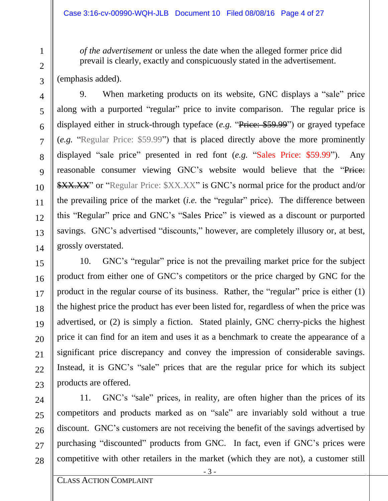*of the advertisement* or unless the date when the alleged former price did prevail is clearly, exactly and conspicuously stated in the advertisement.

(emphasis added).

9. When marketing products on its website, GNC displays a "sale" price along with a purported "regular" price to invite comparison. The regular price is displayed either in struck-through typeface (*e.g.* "Price: \$59.99") or grayed typeface (*e.g.* "Regular Price: \$59.99") that is placed directly above the more prominently displayed "sale price" presented in red font (*e.g.* "Sales Price: \$59.99"). Any reasonable consumer viewing GNC's website would believe that the "Price: **\$XX.XX"** or "Regular Price: \$XX.XX" is GNC's normal price for the product and/or the prevailing price of the market (*i.e.* the "regular" price). The difference between this "Regular" price and GNC's "Sales Price" is viewed as a discount or purported savings. GNC's advertised "discounts," however, are completely illusory or, at best, grossly overstated.

10. GNC's "regular" price is not the prevailing market price for the subject product from either one of GNC's competitors or the price charged by GNC for the product in the regular course of its business. Rather, the "regular" price is either (1) the highest price the product has ever been listed for, regardless of when the price was advertised, or (2) is simply a fiction. Stated plainly, GNC cherry-picks the highest price it can find for an item and uses it as a benchmark to create the appearance of a significant price discrepancy and convey the impression of considerable savings. Instead, it is GNC's "sale" prices that are the regular price for which its subject products are offered.

11. GNC's "sale" prices, in reality, are often higher than the prices of its competitors and products marked as on "sale" are invariably sold without a true discount. GNC's customers are not receiving the benefit of the savings advertised by purchasing "discounted" products from GNC. In fact, even if GNC's prices were competitive with other retailers in the market (which they are not), a customer still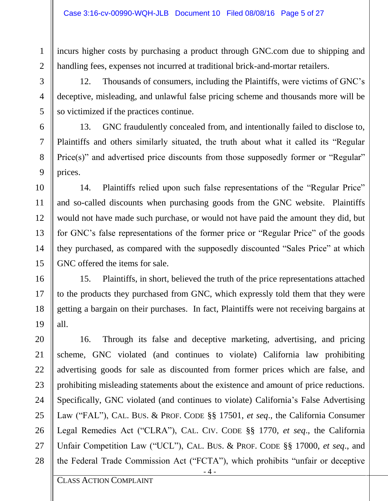incurs higher costs by purchasing a product through GNC.com due to shipping and handling fees, expenses not incurred at traditional brick-and-mortar retailers.

12. Thousands of consumers, including the Plaintiffs, were victims of GNC's deceptive, misleading, and unlawful false pricing scheme and thousands more will be so victimized if the practices continue.

13. GNC fraudulently concealed from, and intentionally failed to disclose to, Plaintiffs and others similarly situated, the truth about what it called its "Regular Price(s)" and advertised price discounts from those supposedly former or "Regular" prices.

14. Plaintiffs relied upon such false representations of the "Regular Price" and so-called discounts when purchasing goods from the GNC website. Plaintiffs would not have made such purchase, or would not have paid the amount they did, but for GNC's false representations of the former price or "Regular Price" of the goods they purchased, as compared with the supposedly discounted "Sales Price" at which GNC offered the items for sale.

15. Plaintiffs, in short, believed the truth of the price representations attached to the products they purchased from GNC, which expressly told them that they were getting a bargain on their purchases. In fact, Plaintiffs were not receiving bargains at all.

 $-4 -$ 16. Through its false and deceptive marketing, advertising, and pricing scheme, GNC violated (and continues to violate) California law prohibiting advertising goods for sale as discounted from former prices which are false, and prohibiting misleading statements about the existence and amount of price reductions. Specifically, GNC violated (and continues to violate) California's False Advertising Law ("FAL"), CAL. BUS. & PROF. CODE §§ 17501, *et seq*., the California Consumer Legal Remedies Act ("CLRA"), CAL. CIV. CODE §§ 1770, *et seq*., the California Unfair Competition Law ("UCL"), CAL. BUS. & PROF. CODE §§ 17000, *et seq*., and the Federal Trade Commission Act ("FCTA"), which prohibits "unfair or deceptive

28

1

2

3

4

5

6

7

8

9

10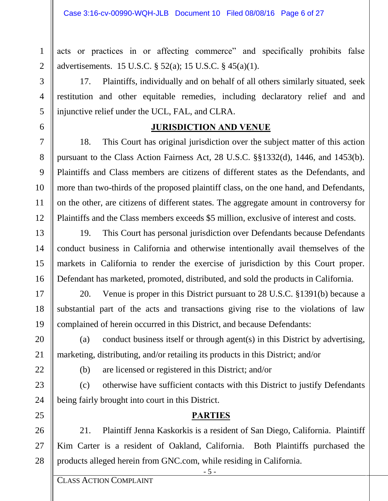acts or practices in or affecting commerce" and specifically prohibits false advertisements. 15 U.S.C. § 52(a); 15 U.S.C. § 45(a)(1).

17. Plaintiffs, individually and on behalf of all others similarly situated, seek restitution and other equitable remedies, including declaratory relief and and injunctive relief under the UCL, FAL, and CLRA.

## **JURISDICTION AND VENUE**

18. This Court has original jurisdiction over the subject matter of this action pursuant to the Class Action Fairness Act, 28 U.S.C. §§1332(d), 1446, and 1453(b). Plaintiffs and Class members are citizens of different states as the Defendants, and more than two-thirds of the proposed plaintiff class, on the one hand, and Defendants, on the other, are citizens of different states. The aggregate amount in controversy for Plaintiffs and the Class members exceeds \$5 million, exclusive of interest and costs.

19. This Court has personal jurisdiction over Defendants because Defendants conduct business in California and otherwise intentionally avail themselves of the markets in California to render the exercise of jurisdiction by this Court proper. Defendant has marketed, promoted, distributed, and sold the products in California.

20. Venue is proper in this District pursuant to 28 U.S.C. §1391(b) because a substantial part of the acts and transactions giving rise to the violations of law complained of herein occurred in this District, and because Defendants:

(a) conduct business itself or through agent(s) in this District by advertising, marketing, distributing, and/or retailing its products in this District; and/or

(b) are licensed or registered in this District; and/or

(c) otherwise have sufficient contacts with this District to justify Defendants being fairly brought into court in this District.

## **PARTIES**

21. Plaintiff Jenna Kaskorkis is a resident of San Diego, California. Plaintiff Kim Carter is a resident of Oakland, California. Both Plaintiffs purchased the products alleged herein from GNC.com, while residing in California.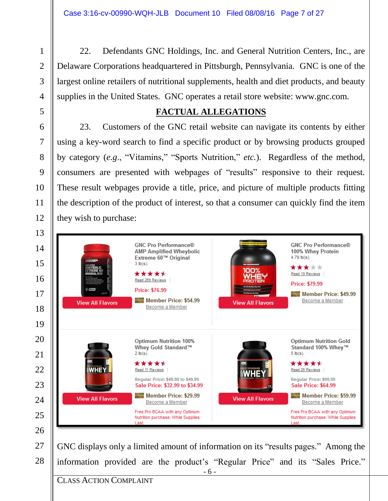22. Defendants GNC Holdings, Inc. and General Nutrition Centers, Inc., are Delaware Corporations headquartered in Pittsburgh, Pennsylvania. GNC is one of the largest online retailers of nutritional supplements, health and diet products, and beauty supplies in the United States. GNC operates a retail store website: www.gnc.com.

### **FACTUAL ALLEGATIONS**

23. Customers of the GNC retail website can navigate its contents by either using a key-word search to find a specific product or by browsing products grouped by category (*e.g*., "Vitamins," "Sports Nutrition," *etc.*). Regardless of the method, consumers are presented with webpages of "results" responsive to their request. These result webpages provide a title, price, and picture of multiple products fitting the description of the product of interest, so that a consumer can quickly find the item they wish to purchase:

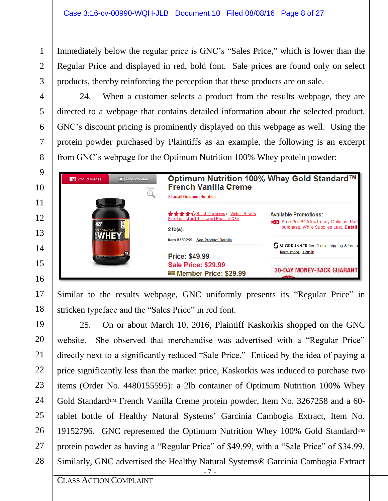Immediately below the regular price is GNC's "Sales Price," which is lower than the Regular Price and displayed in red, bold font. Sale prices are found only on select products, thereby reinforcing the perception that these products are on sale.

24. When a customer selects a product from the results webpage, they are directed to a webpage that contains detailed information about the selected product. GNC's discount pricing is prominently displayed on this webpage as well. Using the protein powder purchased by Plaintiffs as an example, the following is an excerpt from GNC's webpage for the Optimum Nutrition 100% Whey protein powder:

| <b>O</b> ProductVideos<br>O Product Images<br>ZOOM | Optimum Nutrition 100% Whey Gold Standard™<br><b>French Vanilla Creme</b><br><b>Shop all Optimum Nutrition</b> |                                                                                                                          |  |
|----------------------------------------------------|----------------------------------------------------------------------------------------------------------------|--------------------------------------------------------------------------------------------------------------------------|--|
| <b>IOLD STANDARD</b>                               | See 1 question   1 answer   Read all Q&A<br>$2$ lb(s).                                                         | <b>Available Promotions:</b><br><b>OST</b> Free Pro BCAA with any Optimum Nutr<br>purchase. While Supplies Last. Details |  |
| <b>ALLINER ROTATION OF</b>                         | Item #350259<br><b>See Product Details</b><br><b>Price: \$49.99</b>                                            | SSHOPRUNNER free 2-day shipping & free re<br>learn more   sign in                                                        |  |
|                                                    | <b>Sale Price: \$29.99</b><br>Member Price: \$29.99                                                            | <b>30-DAY MONEY-BACK GUARANT</b><br>$-1$                                                                                 |  |

Similar to the results webpage, GNC uniformly presents its "Regular Price" in stricken typeface and the "Sales Price" in red font.

- 7 - - 7 - 25. On or about March 10, 2016, Plaintiff Kaskorkis shopped on the GNC website. She observed that merchandise was advertised with a "Regular Price" directly next to a significantly reduced "Sale Price." Enticed by the idea of paying a price significantly less than the market price, Kaskorkis was induced to purchase two items (Order No. 4480155595): a 2lb container of Optimum Nutrition 100% Whey Gold Standard™ French Vanilla Creme protein powder, Item No. 3267258 and a 60 tablet bottle of Healthy Natural Systems' Garcinia Cambogia Extract, Item No. 19152796. GNC represented the Optimum Nutrition Whey 100% Gold Standard™ protein powder as having a "Regular Price" of \$49.99, with a "Sale Price" of \$34.99. Similarly, GNC advertised the Healthy Natural Systems® Garcinia Cambogia Extract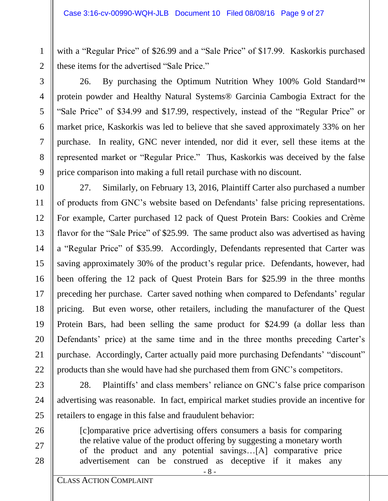with a "Regular Price" of \$26.99 and a "Sale Price" of \$17.99. Kaskorkis purchased these items for the advertised "Sale Price."

5

6

7

8

9

10

11

12

13

26. By purchasing the Optimum Nutrition Whey 100% Gold Standard™ protein powder and Healthy Natural Systems® Garcinia Cambogia Extract for the "Sale Price" of \$34.99 and \$17.99, respectively, instead of the "Regular Price" or market price, Kaskorkis was led to believe that she saved approximately 33% on her purchase. In reality, GNC never intended, nor did it ever, sell these items at the represented market or "Regular Price." Thus, Kaskorkis was deceived by the false price comparison into making a full retail purchase with no discount.

27. Similarly, on February 13, 2016, Plaintiff Carter also purchased a number of products from GNC's website based on Defendants' false pricing representations. For example, Carter purchased 12 pack of Quest Protein Bars: Cookies and Crème flavor for the "Sale Price" of \$25.99. The same product also was advertised as having a "Regular Price" of \$35.99. Accordingly, Defendants represented that Carter was saving approximately 30% of the product's regular price. Defendants, however, had been offering the 12 pack of Quest Protein Bars for \$25.99 in the three months preceding her purchase. Carter saved nothing when compared to Defendants' regular pricing. But even worse, other retailers, including the manufacturer of the Quest Protein Bars, had been selling the same product for \$24.99 (a dollar less than Defendants' price) at the same time and in the three months preceding Carter's purchase. Accordingly, Carter actually paid more purchasing Defendants' "discount" products than she would have had she purchased them from GNC's competitors.

28. Plaintiffs' and class members' reliance on GNC's false price comparison advertising was reasonable. In fact, empirical market studies provide an incentive for retailers to engage in this false and fraudulent behavior:

[c]omparative price advertising offers consumers a basis for comparing the relative value of the product offering by suggesting a monetary worth of the product and any potential savings…[A] comparative price advertisement can be construed as deceptive if it makes any

28

- 8 - - 8 -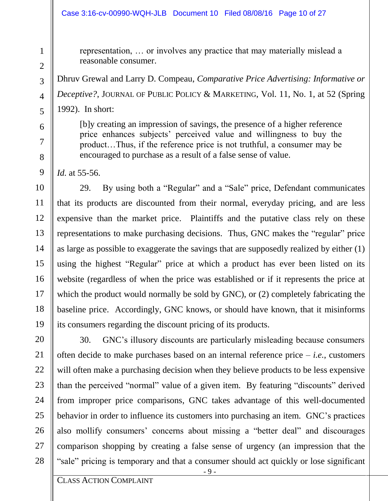#### Case 3:16-cv-00990-WQH-JLB Document 10 Filed 08/08/16 Page 10 of 27

representation, … or involves any practice that may materially mislead a reasonable consumer.

Dhruv Grewal and Larry D. Compeau, *Comparative Price Advertising: Informative or Deceptive?*, JOURNAL OF PUBLIC POLICY & MARKETING, Vol. 11, No. 1, at 52 (Spring 1992). In short:

[b]y creating an impression of savings, the presence of a higher reference price enhances subjects' perceived value and willingness to buy the product…Thus, if the reference price is not truthful, a consumer may be encouraged to purchase as a result of a false sense of value.

*Id.* at 55-56.

29. By using both a "Regular" and a "Sale" price, Defendant communicates that its products are discounted from their normal, everyday pricing, and are less expensive than the market price. Plaintiffs and the putative class rely on these representations to make purchasing decisions. Thus, GNC makes the "regular" price as large as possible to exaggerate the savings that are supposedly realized by either (1) using the highest "Regular" price at which a product has ever been listed on its website (regardless of when the price was established or if it represents the price at which the product would normally be sold by GNC), or (2) completely fabricating the baseline price. Accordingly, GNC knows, or should have known, that it misinforms its consumers regarding the discount pricing of its products.

30. GNC's illusory discounts are particularly misleading because consumers often decide to make purchases based on an internal reference price – *i.e.*, customers will often make a purchasing decision when they believe products to be less expensive than the perceived "normal" value of a given item. By featuring "discounts" derived from improper price comparisons, GNC takes advantage of this well-documented behavior in order to influence its customers into purchasing an item. GNC's practices also mollify consumers' concerns about missing a "better deal" and discourages comparison shopping by creating a false sense of urgency (an impression that the "sale" pricing is temporary and that a consumer should act quickly or lose significant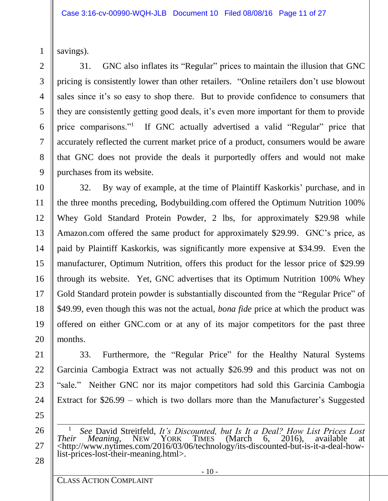savings).

1

2

3

4

5

6

7

8

9

10

11

12

13

14

15

16

17

18

19

20

21

22

23

24

25

26

27

28

31. GNC also inflates its "Regular" prices to maintain the illusion that GNC pricing is consistently lower than other retailers. "Online retailers don't use blowout sales since it's so easy to shop there. But to provide confidence to consumers that they are consistently getting good deals, it's even more important for them to provide price comparisons."<sup>1</sup> If GNC actually advertised a valid "Regular" price that accurately reflected the current market price of a product, consumers would be aware that GNC does not provide the deals it purportedly offers and would not make purchases from its website.

32. By way of example, at the time of Plaintiff Kaskorkis' purchase, and in the three months preceding, Bodybuilding.com offered the Optimum Nutrition 100% Whey Gold Standard Protein Powder, 2 lbs, for approximately \$29.98 while Amazon.com offered the same product for approximately \$29.99. GNC's price, as paid by Plaintiff Kaskorkis, was significantly more expensive at \$34.99. Even the manufacturer, Optimum Nutrition, offers this product for the lessor price of \$29.99 through its website. Yet, GNC advertises that its Optimum Nutrition 100% Whey Gold Standard protein powder is substantially discounted from the "Regular Price" of \$49.99, even though this was not the actual, *bona fide* price at which the product was offered on either GNC.com or at any of its major competitors for the past three months.

33. Furthermore, the "Regular Price" for the Healthy Natural Systems Garcinia Cambogia Extract was not actually \$26.99 and this product was not on "sale." Neither GNC nor its major competitors had sold this Garcinia Cambogia Extract for \$26.99 – which is two dollars more than the Manufacturer's Suggested

l <sup>1</sup> *See* David Streitfeld, *It's Discounted, but Is It a Deal? How List Prices Lost Their Meaning, NEW YORK TIMES (March 6, 2016), available at Meaning*, NEW YORK TIMES (March 6, 2016), available at <http://www.nytimes.com/2016/03/06/technology/its-discounted-but-is-it-a-deal-howlist-prices-lost-their-meaning.html>.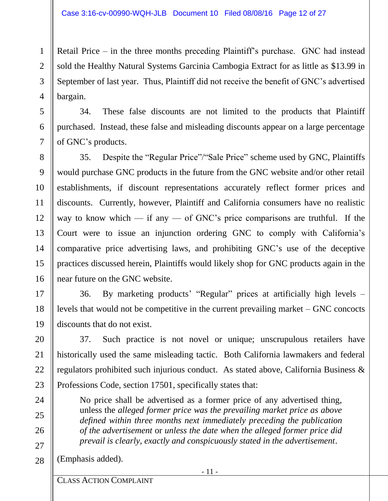Retail Price – in the three months preceding Plaintiff's purchase. GNC had instead sold the Healthy Natural Systems Garcinia Cambogia Extract for as little as \$13.99 in September of last year. Thus, Plaintiff did not receive the benefit of GNC's advertised bargain.

34. These false discounts are not limited to the products that Plaintiff purchased. Instead, these false and misleading discounts appear on a large percentage of GNC's products.

35. Despite the "Regular Price"/"Sale Price" scheme used by GNC, Plaintiffs would purchase GNC products in the future from the GNC website and/or other retail establishments, if discount representations accurately reflect former prices and discounts. Currently, however, Plaintiff and California consumers have no realistic way to know which — if any — of GNC's price comparisons are truthful. If the Court were to issue an injunction ordering GNC to comply with California's comparative price advertising laws, and prohibiting GNC's use of the deceptive practices discussed herein, Plaintiffs would likely shop for GNC products again in the near future on the GNC website.

36. By marketing products' "Regular" prices at artificially high levels – levels that would not be competitive in the current prevailing market – GNC concocts discounts that do not exist.

37. Such practice is not novel or unique; unscrupulous retailers have historically used the same misleading tactic. Both California lawmakers and federal regulators prohibited such injurious conduct. As stated above, California Business & Professions Code, section 17501, specifically states that:

No price shall be advertised as a former price of any advertised thing, unless the *alleged former price was the prevailing market price as above defined within three months next immediately preceding the publication of the advertisement* or *unless the date when the alleged former price did prevail is clearly, exactly and conspicuously stated in the advertisement*.

28 (Emphasis added).

1

2

3

4

5

6

7

8

9

10

11

12

13

14

15

16

17

18

19

20

21

22

23

24

25

26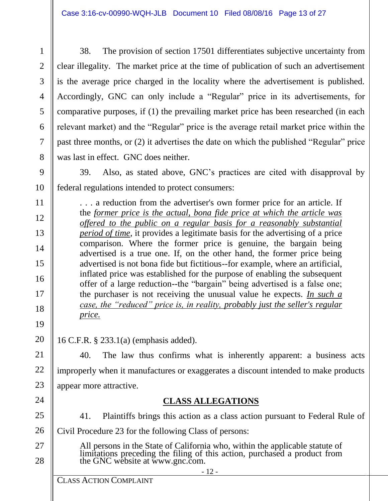38. The provision of section 17501 differentiates subjective uncertainty from clear illegality. The market price at the time of publication of such an advertisement is the average price charged in the locality where the advertisement is published. Accordingly, GNC can only include a "Regular" price in its advertisements, for comparative purposes, if (1) the prevailing market price has been researched (in each relevant market) and the "Regular" price is the average retail market price within the past three months, or (2) it advertises the date on which the published "Regular" price was last in effect. GNC does neither.

39. Also, as stated above, GNC's practices are cited with disapproval by federal regulations intended to protect consumers:

. . . a reduction from the advertiser's own former price for an article. If the *former price is the actual, bona fide price at which the article was offered to the public on a regular basis for a reasonably substantial period of time*, it provides a legitimate basis for the advertising of a price comparison. Where the former price is genuine, the bargain being advertised is a true one. If, on the other hand, the former price being advertised is not bona fide but fictitious--for example, where an artificial, inflated price was established for the purpose of enabling the subsequent offer of a large reduction--the "bargain" being advertised is a false one; the purchaser is not receiving the unusual value he expects. *In such a case, the "reduced" price is, in reality, probably just the seller's regular price.*

16 C.F.R. § 233.1(a) (emphasis added).

40. The law thus confirms what is inherently apparent: a business acts improperly when it manufactures or exaggerates a discount intended to make products appear more attractive.

# **CLASS ALLEGATIONS**

- 41. Plaintiffs brings this action as a class action pursuant to Federal Rule of Civil Procedure 23 for the following Class of persons:
	- All persons in the State of California who, within the applicable statute of limitations preceding the filing of this action, purchased a product from the GNC website at www.gnc.com.

28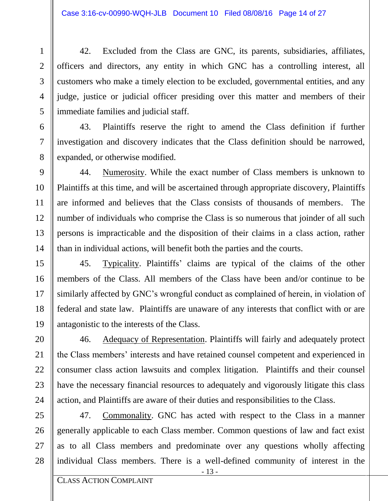42. Excluded from the Class are GNC, its parents, subsidiaries, affiliates, officers and directors, any entity in which GNC has a controlling interest, all customers who make a timely election to be excluded, governmental entities, and any judge, justice or judicial officer presiding over this matter and members of their immediate families and judicial staff.

43. Plaintiffs reserve the right to amend the Class definition if further investigation and discovery indicates that the Class definition should be narrowed, expanded, or otherwise modified.

44. Numerosity. While the exact number of Class members is unknown to Plaintiffs at this time, and will be ascertained through appropriate discovery, Plaintiffs are informed and believes that the Class consists of thousands of members. The number of individuals who comprise the Class is so numerous that joinder of all such persons is impracticable and the disposition of their claims in a class action, rather than in individual actions, will benefit both the parties and the courts.

45. Typicality. Plaintiffs' claims are typical of the claims of the other members of the Class. All members of the Class have been and/or continue to be similarly affected by GNC's wrongful conduct as complained of herein, in violation of federal and state law. Plaintiffs are unaware of any interests that conflict with or are antagonistic to the interests of the Class.

46. Adequacy of Representation. Plaintiffs will fairly and adequately protect the Class members' interests and have retained counsel competent and experienced in consumer class action lawsuits and complex litigation. Plaintiffs and their counsel have the necessary financial resources to adequately and vigorously litigate this class action, and Plaintiffs are aware of their duties and responsibilities to the Class.

47. Commonality. GNC has acted with respect to the Class in a manner generally applicable to each Class member. Common questions of law and fact exist as to all Class members and predominate over any questions wholly affecting individual Class members. There is a well-defined community of interest in the

- 13 - - 13 -

1

2

3

4

5

6

7

8

9

10

11

12

13

14

15

16

17

18

19

20

21

22

23

24

25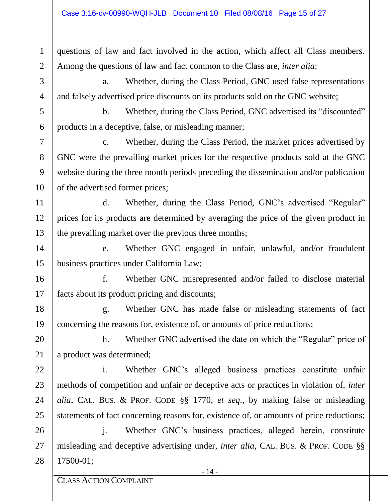questions of law and fact involved in the action, which affect all Class members. Among the questions of law and fact common to the Class are, *inter alia*:

a. Whether, during the Class Period, GNC used false representations and falsely advertised price discounts on its products sold on the GNC website;

b. Whether, during the Class Period, GNC advertised its "discounted" products in a deceptive, false, or misleading manner;

c. Whether, during the Class Period, the market prices advertised by GNC were the prevailing market prices for the respective products sold at the GNC website during the three month periods preceding the dissemination and/or publication of the advertised former prices;

d. Whether, during the Class Period, GNC's advertised "Regular" prices for its products are determined by averaging the price of the given product in the prevailing market over the previous three months;

e. Whether GNC engaged in unfair, unlawful, and/or fraudulent business practices under California Law;

f. Whether GNC misrepresented and/or failed to disclose material facts about its product pricing and discounts;

g. Whether GNC has made false or misleading statements of fact concerning the reasons for, existence of, or amounts of price reductions;

h. Whether GNC advertised the date on which the "Regular" price of a product was determined;

i. Whether GNC's alleged business practices constitute unfair methods of competition and unfair or deceptive acts or practices in violation of, *inter alia*, CAL. BUS. & PROF. CODE §§ 1770, *et seq.*, by making false or misleading statements of fact concerning reasons for, existence of, or amounts of price reductions;

j. Whether GNC's business practices, alleged herein, constitute misleading and deceptive advertising under, *inter alia*, CAL. BUS. & PROF. CODE §§ 17500-01;

1

2

3

4

5

6

7

8

9

10

11

12

13

14

15

16

17

18

19

20

21

22

23

24

25

26

27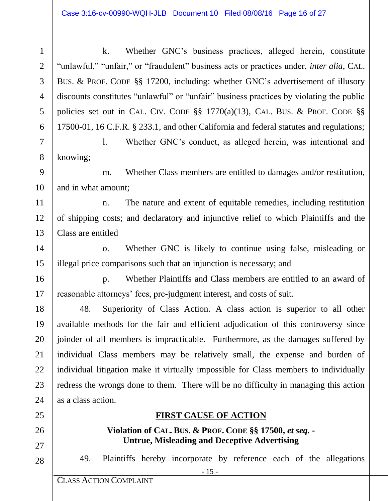k. Whether GNC's business practices, alleged herein, constitute "unlawful," "unfair," or "fraudulent" business acts or practices under, *inter alia*, CAL. BUS. & PROF. CODE §§ 17200, including: whether GNC's advertisement of illusory discounts constitutes "unlawful" or "unfair" business practices by violating the public policies set out in CAL. CIV. CODE §§ 1770(a)(13), CAL. BUS. & PROF. CODE §§ 17500-01, 16 C.F.R. § 233.1, and other California and federal statutes and regulations;

l. Whether GNC's conduct, as alleged herein, was intentional and knowing;

m. Whether Class members are entitled to damages and/or restitution, and in what amount;

n. The nature and extent of equitable remedies, including restitution of shipping costs; and declaratory and injunctive relief to which Plaintiffs and the Class are entitled

o. Whether GNC is likely to continue using false, misleading or illegal price comparisons such that an injunction is necessary; and

p. Whether Plaintiffs and Class members are entitled to an award of reasonable attorneys' fees, pre-judgment interest, and costs of suit.

48. Superiority of Class Action. A class action is superior to all other available methods for the fair and efficient adjudication of this controversy since joinder of all members is impracticable. Furthermore, as the damages suffered by individual Class members may be relatively small, the expense and burden of individual litigation make it virtually impossible for Class members to individually redress the wrongs done to them. There will be no difficulty in managing this action as a class action.

#### **FIRST CAUSE OF ACTION**

**Violation of CAL. BUS. & PROF. CODE §§ 17500,** *et seq. -* **Untrue, Misleading and Deceptive Advertising**

49. Plaintiffs hereby incorporate by reference each of the allegations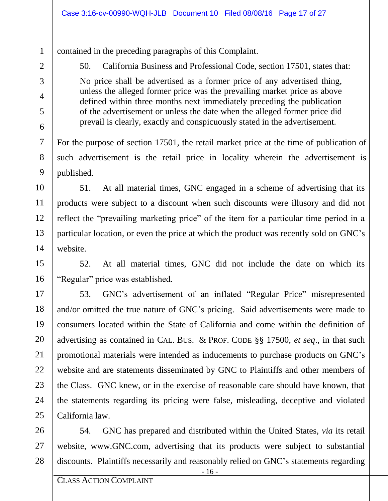contained in the preceding paragraphs of this Complaint.

50. California Business and Professional Code, section 17501, states that: No price shall be advertised as a former price of any advertised thing, unless the alleged former price was the prevailing market price as above defined within three months next immediately preceding the publication of the advertisement or unless the date when the alleged former price did prevail is clearly, exactly and conspicuously stated in the advertisement.

For the purpose of section 17501, the retail market price at the time of publication of such advertisement is the retail price in locality wherein the advertisement is published.

51. At all material times, GNC engaged in a scheme of advertising that its products were subject to a discount when such discounts were illusory and did not reflect the "prevailing marketing price" of the item for a particular time period in a particular location, or even the price at which the product was recently sold on GNC's website.

52. At all material times, GNC did not include the date on which its "Regular" price was established.

53. GNC's advertisement of an inflated "Regular Price" misrepresented and/or omitted the true nature of GNC's pricing. Said advertisements were made to consumers located within the State of California and come within the definition of advertising as contained in CAL. BUS. & PROF. CODE §§ 17500, *et seq*., in that such promotional materials were intended as inducements to purchase products on GNC's website and are statements disseminated by GNC to Plaintiffs and other members of the Class. GNC knew, or in the exercise of reasonable care should have known, that the statements regarding its pricing were false, misleading, deceptive and violated California law.

54. GNC has prepared and distributed within the United States, *via* its retail website, www.GNC.com, advertising that its products were subject to substantial discounts. Plaintiffs necessarily and reasonably relied on GNC's statements regarding

1

2

3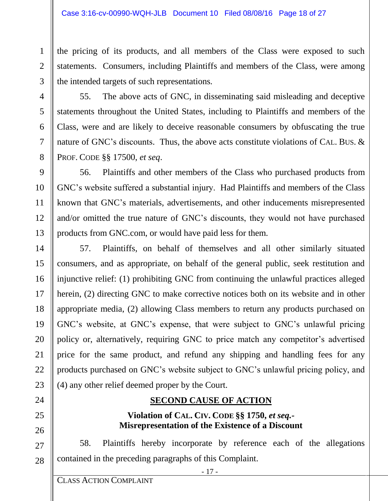the pricing of its products, and all members of the Class were exposed to such statements. Consumers, including Plaintiffs and members of the Class, were among the intended targets of such representations.

55. The above acts of GNC, in disseminating said misleading and deceptive statements throughout the United States, including to Plaintiffs and members of the Class, were and are likely to deceive reasonable consumers by obfuscating the true nature of GNC's discounts. Thus, the above acts constitute violations of CAL. BUS. & PROF. CODE §§ 17500, *et seq*.

56. Plaintiffs and other members of the Class who purchased products from GNC's website suffered a substantial injury. Had Plaintiffs and members of the Class known that GNC's materials, advertisements, and other inducements misrepresented and/or omitted the true nature of GNC's discounts, they would not have purchased products from GNC.com, or would have paid less for them.

57. Plaintiffs, on behalf of themselves and all other similarly situated consumers, and as appropriate, on behalf of the general public, seek restitution and injunctive relief: (1) prohibiting GNC from continuing the unlawful practices alleged herein, (2) directing GNC to make corrective notices both on its website and in other appropriate media, (2) allowing Class members to return any products purchased on GNC's website, at GNC's expense, that were subject to GNC's unlawful pricing policy or, alternatively, requiring GNC to price match any competitor's advertised price for the same product, and refund any shipping and handling fees for any products purchased on GNC's website subject to GNC's unlawful pricing policy, and (4) any other relief deemed proper by the Court.

## **SECOND CAUSE OF ACTION**

## **Violation of CAL. CIV. CODE §§ 1750,** *et seq.-* **Misrepresentation of the Existence of a Discount**

58. Plaintiffs hereby incorporate by reference each of the allegations contained in the preceding paragraphs of this Complaint.

1

2

3

4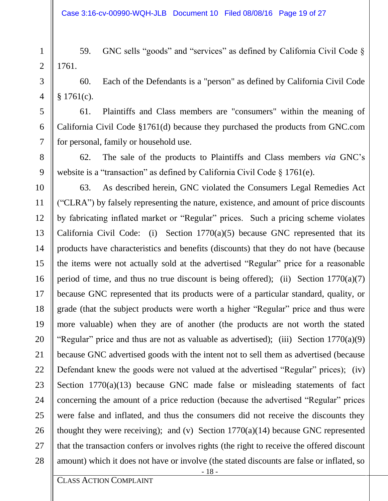59. GNC sells "goods" and "services" as defined by California Civil Code § 1761.

60. Each of the Defendants is a "person" as defined by California Civil Code  $$1761(c).$ 

61. Plaintiffs and Class members are "consumers" within the meaning of California Civil Code §1761(d) because they purchased the products from GNC.com for personal, family or household use.

62. The sale of the products to Plaintiffs and Class members *via* GNC's website is a "transaction" as defined by California Civil Code § 1761(e).

63. As described herein, GNC violated the Consumers Legal Remedies Act ("CLRA") by falsely representing the nature, existence, and amount of price discounts by fabricating inflated market or "Regular" prices. Such a pricing scheme violates California Civil Code: (i) Section  $1770(a)(5)$  because GNC represented that its products have characteristics and benefits (discounts) that they do not have (because the items were not actually sold at the advertised "Regular" price for a reasonable period of time, and thus no true discount is being offered); (ii) Section  $1770(a)(7)$ because GNC represented that its products were of a particular standard, quality, or grade (that the subject products were worth a higher "Regular" price and thus were more valuable) when they are of another (the products are not worth the stated "Regular" price and thus are not as valuable as advertised); (iii) Section  $1770(a)(9)$ because GNC advertised goods with the intent not to sell them as advertised (because Defendant knew the goods were not valued at the advertised "Regular" prices); (iv) Section 1770(a)(13) because GNC made false or misleading statements of fact concerning the amount of a price reduction (because the advertised "Regular" prices were false and inflated, and thus the consumers did not receive the discounts they thought they were receiving); and (v) Section  $1770(a)(14)$  because GNC represented that the transaction confers or involves rights (the right to receive the offered discount amount) which it does not have or involve (the stated discounts are false or inflated, so

28

1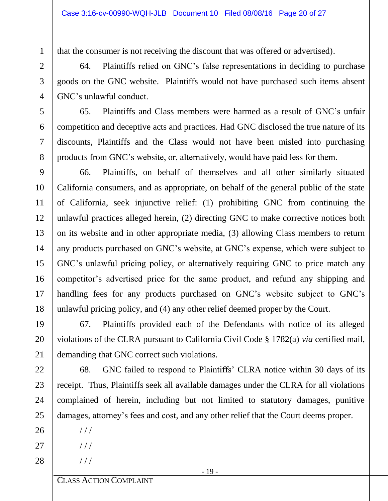that the consumer is not receiving the discount that was offered or advertised).

64. Plaintiffs relied on GNC's false representations in deciding to purchase goods on the GNC website. Plaintiffs would not have purchased such items absent GNC's unlawful conduct.

65. Plaintiffs and Class members were harmed as a result of GNC's unfair competition and deceptive acts and practices. Had GNC disclosed the true nature of its discounts, Plaintiffs and the Class would not have been misled into purchasing products from GNC's website, or, alternatively, would have paid less for them.

66. Plaintiffs, on behalf of themselves and all other similarly situated California consumers, and as appropriate, on behalf of the general public of the state of California, seek injunctive relief: (1) prohibiting GNC from continuing the unlawful practices alleged herein, (2) directing GNC to make corrective notices both on its website and in other appropriate media, (3) allowing Class members to return any products purchased on GNC's website, at GNC's expense, which were subject to GNC's unlawful pricing policy, or alternatively requiring GNC to price match any competitor's advertised price for the same product, and refund any shipping and handling fees for any products purchased on GNC's website subject to GNC's unlawful pricing policy, and (4) any other relief deemed proper by the Court.

67. Plaintiffs provided each of the Defendants with notice of its alleged violations of the CLRA pursuant to California Civil Code § 1782(a) *via* certified mail, demanding that GNC correct such violations.

68. GNC failed to respond to Plaintiffs' CLRA notice within 30 days of its receipt. Thus, Plaintiffs seek all available damages under the CLRA for all violations complained of herein, including but not limited to statutory damages, punitive damages, attorney's fees and cost, and any other relief that the Court deems proper.

 $///$ 

 $///$ 

/ / /

28

1

2

3

4

5

6

7

8

9

10

11

12

13

14

15

16

17

18

19

20

21

22

23

24

25

26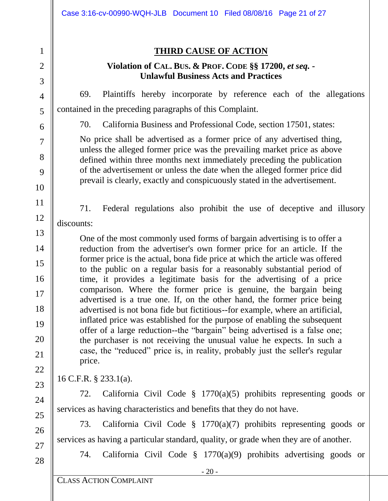|             | Case 3:16-cv-00990-WQH-JLB Document 10 Filed 08/08/16 Page 21 of 27                                                                                                                                                                                                                                                                                                                      |  |  |
|-------------|------------------------------------------------------------------------------------------------------------------------------------------------------------------------------------------------------------------------------------------------------------------------------------------------------------------------------------------------------------------------------------------|--|--|
| 2<br>3      | <b>THIRD CAUSE OF ACTION</b><br>Violation of CAL. BUS. & PROF. CODE §§ 17200, et seq. -<br><b>Unlawful Business Acts and Practices</b>                                                                                                                                                                                                                                                   |  |  |
| 4           | Plaintiffs hereby incorporate by reference each of the allegations<br>69.                                                                                                                                                                                                                                                                                                                |  |  |
| 5           | contained in the preceding paragraphs of this Complaint.                                                                                                                                                                                                                                                                                                                                 |  |  |
| 6           | California Business and Professional Code, section 17501, states:<br>70.                                                                                                                                                                                                                                                                                                                 |  |  |
| 7<br>8<br>9 | No price shall be advertised as a former price of any advertised thing,<br>unless the alleged former price was the prevailing market price as above<br>defined within three months next immediately preceding the publication<br>of the advertisement or unless the date when the alleged former price did<br>prevail is clearly, exactly and conspicuously stated in the advertisement. |  |  |
| 10          |                                                                                                                                                                                                                                                                                                                                                                                          |  |  |
| 11          | 71.<br>Federal regulations also prohibit the use of deceptive and illusory                                                                                                                                                                                                                                                                                                               |  |  |
| 12          | discounts:                                                                                                                                                                                                                                                                                                                                                                               |  |  |
| 13          | One of the most commonly used forms of bargain advertising is to offer a                                                                                                                                                                                                                                                                                                                 |  |  |
| 14          | reduction from the advertiser's own former price for an article. If the<br>former price is the actual, bona fide price at which the article was offered                                                                                                                                                                                                                                  |  |  |
| 15          | to the public on a regular basis for a reasonably substantial period of                                                                                                                                                                                                                                                                                                                  |  |  |
| 16          | time, it provides a legitimate basis for the advertising of a price<br>comparison. Where the former price is genuine, the bargain being                                                                                                                                                                                                                                                  |  |  |
| 17          | advertised is a true one. If, on the other hand, the former price being                                                                                                                                                                                                                                                                                                                  |  |  |
| 18<br>19    | advertised is not bona fide but fictitious--for example, where an artificial,<br>inflated price was established for the purpose of enabling the subsequent                                                                                                                                                                                                                               |  |  |
| <b>20</b>   | offer of a large reduction--the "bargain" being advertised is a false one;                                                                                                                                                                                                                                                                                                               |  |  |
| 21          | the purchaser is not receiving the unusual value he expects. In such a<br>case, the "reduced" price is, in reality, probably just the seller's regular                                                                                                                                                                                                                                   |  |  |
| 22          | price.                                                                                                                                                                                                                                                                                                                                                                                   |  |  |
| 23          | 16 C.F.R. $\S$ 233.1(a).                                                                                                                                                                                                                                                                                                                                                                 |  |  |
| 24          | California Civil Code $\S$ 1770(a)(5) prohibits representing goods or<br>72.                                                                                                                                                                                                                                                                                                             |  |  |
| 25          | services as having characteristics and benefits that they do not have.                                                                                                                                                                                                                                                                                                                   |  |  |
| 26          | California Civil Code $\S$ 1770(a)(7) prohibits representing goods or<br>73.                                                                                                                                                                                                                                                                                                             |  |  |
| 27          | services as having a particular standard, quality, or grade when they are of another.                                                                                                                                                                                                                                                                                                    |  |  |
| 28          | California Civil Code $\S$ 1770(a)(9) prohibits advertising goods or<br>74.                                                                                                                                                                                                                                                                                                              |  |  |
|             | $-20-$<br><b>CLASS ACTION COMPLAINT</b>                                                                                                                                                                                                                                                                                                                                                  |  |  |
|             |                                                                                                                                                                                                                                                                                                                                                                                          |  |  |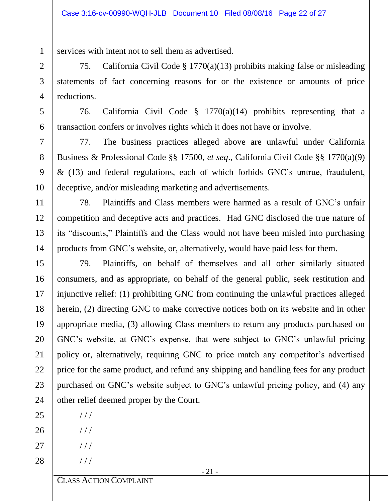services with intent not to sell them as advertised.

75. California Civil Code § 1770(a)(13) prohibits making false or misleading statements of fact concerning reasons for or the existence or amounts of price reductions.

76. California Civil Code § 1770(a)(14) prohibits representing that a transaction confers or involves rights which it does not have or involve.

77. The business practices alleged above are unlawful under California Business & Professional Code §§ 17500, *et seq*., California Civil Code §§ 1770(a)(9) & (13) and federal regulations, each of which forbids GNC's untrue, fraudulent, deceptive, and/or misleading marketing and advertisements.

78. Plaintiffs and Class members were harmed as a result of GNC's unfair competition and deceptive acts and practices. Had GNC disclosed the true nature of its "discounts," Plaintiffs and the Class would not have been misled into purchasing products from GNC's website, or, alternatively, would have paid less for them.

79. Plaintiffs, on behalf of themselves and all other similarly situated consumers, and as appropriate, on behalf of the general public, seek restitution and injunctive relief: (1) prohibiting GNC from continuing the unlawful practices alleged herein, (2) directing GNC to make corrective notices both on its website and in other appropriate media, (3) allowing Class members to return any products purchased on GNC's website, at GNC's expense, that were subject to GNC's unlawful pricing policy or, alternatively, requiring GNC to price match any competitor's advertised price for the same product, and refund any shipping and handling fees for any product purchased on GNC's website subject to GNC's unlawful pricing policy, and (4) any other relief deemed proper by the Court.

- - $///$

 $//$ 

 $//$ 

/ / /

1

2

3

4

5

6

7

8

9

10

11

12

13

14

15

16

17

18

19

20

21

22

23

24

25

26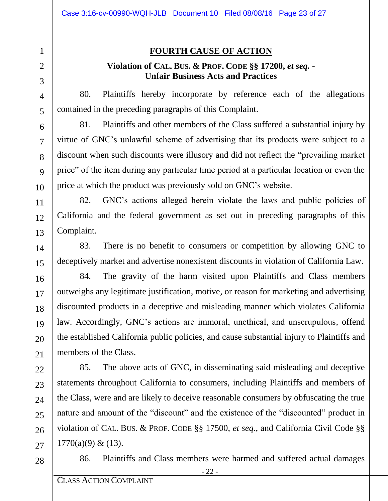### **FOURTH CAUSE OF ACTION**

#### **Violation of CAL. BUS. & PROF. CODE §§ 17200,** *et seq. -* **Unfair Business Acts and Practices**

80. Plaintiffs hereby incorporate by reference each of the allegations contained in the preceding paragraphs of this Complaint.

81. Plaintiffs and other members of the Class suffered a substantial injury by virtue of GNC's unlawful scheme of advertising that its products were subject to a discount when such discounts were illusory and did not reflect the "prevailing market price" of the item during any particular time period at a particular location or even the price at which the product was previously sold on GNC's website.

82. GNC's actions alleged herein violate the laws and public policies of California and the federal government as set out in preceding paragraphs of this Complaint.

83. There is no benefit to consumers or competition by allowing GNC to deceptively market and advertise nonexistent discounts in violation of California Law.

84. The gravity of the harm visited upon Plaintiffs and Class members outweighs any legitimate justification, motive, or reason for marketing and advertising discounted products in a deceptive and misleading manner which violates California law. Accordingly, GNC's actions are immoral, unethical, and unscrupulous, offend the established California public policies, and cause substantial injury to Plaintiffs and members of the Class.

85. The above acts of GNC, in disseminating said misleading and deceptive statements throughout California to consumers, including Plaintiffs and members of the Class, were and are likely to deceive reasonable consumers by obfuscating the true nature and amount of the "discount" and the existence of the "discounted" product in violation of CAL. BUS. & PROF. CODE §§ 17500, *et seq*., and California Civil Code §§  $1770(a)(9) & (13)$ .

28

1

2

3

4

5

6

7

8

 $\mathbf Q$ 

10

11

12

13

14

15

16

17

18

19

20

21

22

23

24

25

26

27

86. Plaintiffs and Class members were harmed and suffered actual damages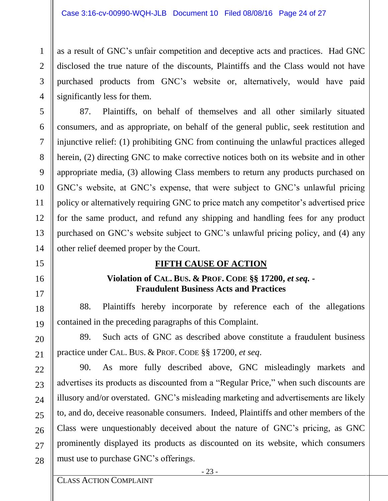as a result of GNC's unfair competition and deceptive acts and practices. Had GNC disclosed the true nature of the discounts, Plaintiffs and the Class would not have purchased products from GNC's website or, alternatively, would have paid significantly less for them.

87. Plaintiffs, on behalf of themselves and all other similarly situated consumers, and as appropriate, on behalf of the general public, seek restitution and injunctive relief: (1) prohibiting GNC from continuing the unlawful practices alleged herein, (2) directing GNC to make corrective notices both on its website and in other appropriate media, (3) allowing Class members to return any products purchased on GNC's website, at GNC's expense, that were subject to GNC's unlawful pricing policy or alternatively requiring GNC to price match any competitor's advertised price for the same product, and refund any shipping and handling fees for any product purchased on GNC's website subject to GNC's unlawful pricing policy, and (4) any other relief deemed proper by the Court.

## **FIFTH CAUSE OF ACTION**

#### **Violation of CAL. BUS. & PROF. CODE §§ 17200,** *et seq. -* **Fraudulent Business Acts and Practices**

88. Plaintiffs hereby incorporate by reference each of the allegations contained in the preceding paragraphs of this Complaint.

89. Such acts of GNC as described above constitute a fraudulent business practice under CAL. BUS. & PROF. CODE §§ 17200, *et seq*.

90. As more fully described above, GNC misleadingly markets and advertises its products as discounted from a "Regular Price," when such discounts are illusory and/or overstated. GNC's misleading marketing and advertisements are likely to, and do, deceive reasonable consumers. Indeed, Plaintiffs and other members of the Class were unquestionably deceived about the nature of GNC's pricing, as GNC prominently displayed its products as discounted on its website, which consumers must use to purchase GNC's offerings.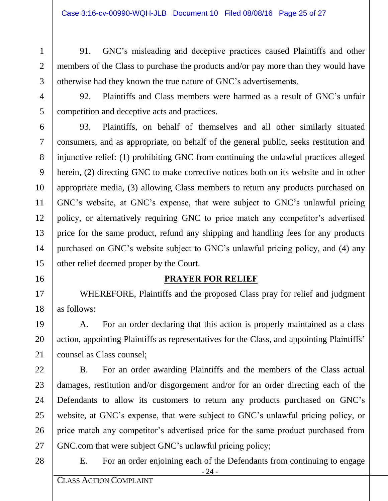91. GNC's misleading and deceptive practices caused Plaintiffs and other members of the Class to purchase the products and/or pay more than they would have otherwise had they known the true nature of GNC's advertisements.

92. Plaintiffs and Class members were harmed as a result of GNC's unfair competition and deceptive acts and practices.

93. Plaintiffs, on behalf of themselves and all other similarly situated consumers, and as appropriate, on behalf of the general public, seeks restitution and injunctive relief: (1) prohibiting GNC from continuing the unlawful practices alleged herein, (2) directing GNC to make corrective notices both on its website and in other appropriate media, (3) allowing Class members to return any products purchased on GNC's website, at GNC's expense, that were subject to GNC's unlawful pricing policy, or alternatively requiring GNC to price match any competitor's advertised price for the same product, refund any shipping and handling fees for any products purchased on GNC's website subject to GNC's unlawful pricing policy, and (4) any other relief deemed proper by the Court.

#### **PRAYER FOR RELIEF**

WHEREFORE, Plaintiffs and the proposed Class pray for relief and judgment as follows:

A. For an order declaring that this action is properly maintained as a class action, appointing Plaintiffs as representatives for the Class, and appointing Plaintiffs' counsel as Class counsel;

B. For an order awarding Plaintiffs and the members of the Class actual damages, restitution and/or disgorgement and/or for an order directing each of the Defendants to allow its customers to return any products purchased on GNC's website, at GNC's expense, that were subject to GNC's unlawful pricing policy, or price match any competitor's advertised price for the same product purchased from GNC.com that were subject GNC's unlawful pricing policy;

28

1

2

3

4

5

6

7

8

9

10

11

12

13

14

15

16

17

18

19

20

21

22

23

24

25

26

27

E. For an order enjoining each of the Defendants from continuing to engage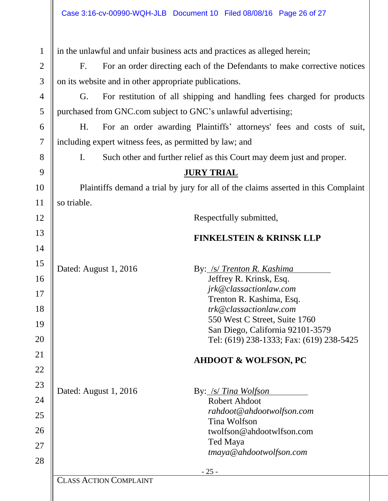| $\mathbf{1}$ |                               | in the unlawful and unfair business acts and practices as alleged herein;          |
|--------------|-------------------------------|------------------------------------------------------------------------------------|
| 2            | F <sub>1</sub>                | For an order directing each of the Defendants to make corrective notices           |
| 3            |                               | on its website and in other appropriate publications.                              |
| 4            | G.                            | For restitution of all shipping and handling fees charged for products             |
| 5            |                               | purchased from GNC.com subject to GNC's unlawful advertising;                      |
| 6            | H <sub>1</sub>                | For an order awarding Plaintiffs' attorneys' fees and costs of suit,               |
| 7            |                               | including expert witness fees, as permitted by law; and                            |
| 8            | I.                            | Such other and further relief as this Court may deem just and proper.              |
| 9            |                               | <b>JURY TRIAL</b>                                                                  |
| 10           |                               | Plaintiffs demand a trial by jury for all of the claims asserted in this Complaint |
| 11           | so triable.                   |                                                                                    |
| 12           |                               | Respectfully submitted,                                                            |
| 13           |                               | <b>FINKELSTEIN &amp; KRINSK LLP</b>                                                |
| 14           |                               |                                                                                    |
| 15           | Dated: August 1, 2016         | By: /s/ Trenton R. Kashima                                                         |
| 16           |                               | Jeffrey R. Krinsk, Esq.                                                            |
| 17           |                               | jrk@classactionlaw.com                                                             |
| 18           |                               | Trenton R. Kashima, Esq.<br>trk@classactionlaw.com                                 |
|              |                               | 550 West C Street, Suite 1760                                                      |
| 19           |                               | San Diego, California 92101-3579                                                   |
| 20           |                               | Tel: (619) 238-1333; Fax: (619) 238-5425                                           |
| 21           |                               | <b>AHDOOT &amp; WOLFSON, PC</b>                                                    |
| 22           |                               |                                                                                    |
| 23           | Dated: August 1, 2016         | By: /s/ Tina Wolfson                                                               |
| 24           |                               | <b>Robert Ahdoot</b>                                                               |
| 25           |                               | rahdoot@ahdootwolfson.com                                                          |
| 26           |                               | Tina Wolfson                                                                       |
|              |                               | twolfson@ahdootwlfson.com<br>Ted Maya                                              |
| 27           |                               | tmaya@ahdootwolfson.com                                                            |
| 28           |                               | $-25-$                                                                             |
|              | <b>CLASS ACTION COMPLAINT</b> |                                                                                    |
|              |                               |                                                                                    |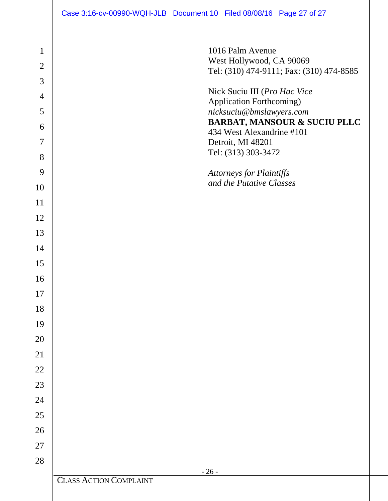1016 Palm Avenue West Hollywood, CA 90069 Tel: (310) 474-9111; Fax: (310) 474-8585

 $-26$  -CLASS ACTION COMPLAINT Nick Suciu III (*Pro Hac Vice*  Application Forthcoming) *nicksuciu@bmslawyers.com* **BARBAT, MANSOUR & SUCIU PLLC** 434 West Alexandrine #101 Detroit, MI 48201 Tel: (313) 303-3472 *Attorneys for Plaintiffs and the Putative Classes*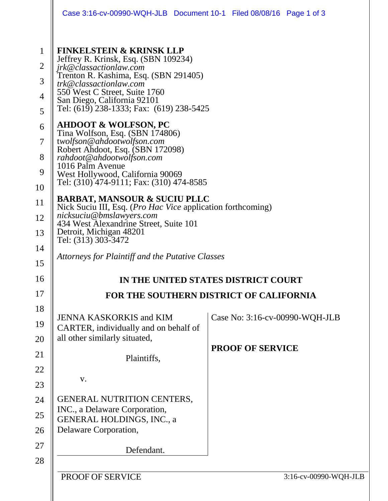|                                                                                      | Case 3:16-cv-00990-WQH-JLB Document 10-1 Filed 08/08/16 Page 1 of 3                                                                                                                                                                                                                                                                                                                                                                                                                                                                                           |                                         |  |  |  |
|--------------------------------------------------------------------------------------|---------------------------------------------------------------------------------------------------------------------------------------------------------------------------------------------------------------------------------------------------------------------------------------------------------------------------------------------------------------------------------------------------------------------------------------------------------------------------------------------------------------------------------------------------------------|-----------------------------------------|--|--|--|
| $\mathbf{1}$<br>$\overline{2}$<br>3<br>$\overline{4}$<br>5<br>6<br>7<br>8<br>9<br>10 | <b>FINKELSTEIN &amp; KRINSK LLP</b><br>Jeffrey R. Krinsk, Esq. (SBN 109234)<br>jrk@classactionlaw.com<br>Trenton R. Kashima, Esq. (SBN 291405)<br>trk@classactionlaw.com<br>550 West C Street, Suite 1760<br>San Diego, California 92101<br>Tel: (619) 238-1333; Fax: (619) 238-5425<br><b>AHDOOT &amp; WOLFSON, PC</b><br>Tina Wolfson, Esq. (SBN 174806)<br>twolfson@ahdootwolfson.com<br>Robert Ahdoot, Esq. (SBN 172098)<br>rahdoot@ahdootwolfson.com<br>1016 Palm Avenue<br>West Hollywood, California 90069<br>Tel: (310) 474-9111; Fax: (310) 474-8585 |                                         |  |  |  |
| 11                                                                                   | <b>BARBAT, MANSOUR &amp; SUCIU PLLC</b>                                                                                                                                                                                                                                                                                                                                                                                                                                                                                                                       |                                         |  |  |  |
| 12                                                                                   | Nick Suciu III, Esq. ( <i>Pro Hac Vice</i> application forthcoming)<br>nicksuciu@bmslawyers.com                                                                                                                                                                                                                                                                                                                                                                                                                                                               |                                         |  |  |  |
| 13                                                                                   | 434 West Alexandrine Street, Suite 101<br>Detroit, Michigan 48201                                                                                                                                                                                                                                                                                                                                                                                                                                                                                             |                                         |  |  |  |
| 14                                                                                   | Tel: (313) 303-3472                                                                                                                                                                                                                                                                                                                                                                                                                                                                                                                                           |                                         |  |  |  |
| 15                                                                                   | Attorneys for Plaintiff and the Putative Classes                                                                                                                                                                                                                                                                                                                                                                                                                                                                                                              |                                         |  |  |  |
| 16                                                                                   | IN THE UNITED STATES DISTRICT COURT                                                                                                                                                                                                                                                                                                                                                                                                                                                                                                                           |                                         |  |  |  |
| 17                                                                                   |                                                                                                                                                                                                                                                                                                                                                                                                                                                                                                                                                               | FOR THE SOUTHERN DISTRICT OF CALIFORNIA |  |  |  |
| 18                                                                                   | <b>JENNA KASKORKIS and KIM</b>                                                                                                                                                                                                                                                                                                                                                                                                                                                                                                                                | Case No: 3:16-cv-00990-WQH-JLB          |  |  |  |
| 19                                                                                   | CARTER, individually and on behalf of                                                                                                                                                                                                                                                                                                                                                                                                                                                                                                                         |                                         |  |  |  |
| 20                                                                                   | all other similarly situated,                                                                                                                                                                                                                                                                                                                                                                                                                                                                                                                                 | <b>PROOF OF SERVICE</b>                 |  |  |  |
| 21                                                                                   | Plaintiffs,                                                                                                                                                                                                                                                                                                                                                                                                                                                                                                                                                   |                                         |  |  |  |
| 22                                                                                   | V.                                                                                                                                                                                                                                                                                                                                                                                                                                                                                                                                                            |                                         |  |  |  |
| 23                                                                                   |                                                                                                                                                                                                                                                                                                                                                                                                                                                                                                                                                               |                                         |  |  |  |
| 24                                                                                   | <b>GENERAL NUTRITION CENTERS,</b><br>INC., a Delaware Corporation,                                                                                                                                                                                                                                                                                                                                                                                                                                                                                            |                                         |  |  |  |
| 25                                                                                   | <b>GENERAL HOLDINGS, INC., a</b>                                                                                                                                                                                                                                                                                                                                                                                                                                                                                                                              |                                         |  |  |  |
| 26                                                                                   | Delaware Corporation,                                                                                                                                                                                                                                                                                                                                                                                                                                                                                                                                         |                                         |  |  |  |
| 27                                                                                   | Defendant.                                                                                                                                                                                                                                                                                                                                                                                                                                                                                                                                                    |                                         |  |  |  |
| 28                                                                                   |                                                                                                                                                                                                                                                                                                                                                                                                                                                                                                                                                               |                                         |  |  |  |
|                                                                                      | PROOF OF SERVICE                                                                                                                                                                                                                                                                                                                                                                                                                                                                                                                                              | 3:16-cv-00990-WQH-JLB                   |  |  |  |
|                                                                                      |                                                                                                                                                                                                                                                                                                                                                                                                                                                                                                                                                               |                                         |  |  |  |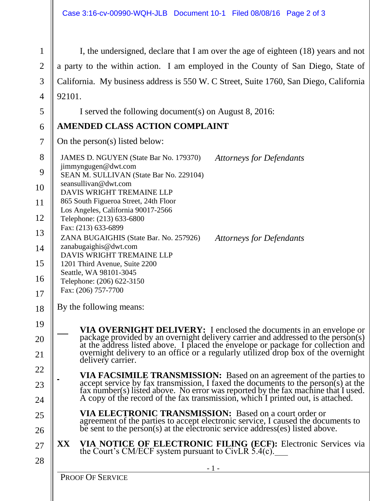I, the undersigned, declare that I am over the age of eighteen (18) years and not a party to the within action. I am employed in the County of San Diego, State of California. My business address is 550 W. C Street, Suite 1760, San Diego, California 92101.

I served the following document(s) on August 8, 2016:

# **AMENDED CLASS ACTION COMPLAINT**

On the person(s) listed below:

- 8  $\mathbf Q$ 10 12 13 14 15 16 17 JAMES D. NGUYEN (State Bar No. 179370) jimmyngugen@dwt.com SEAN M. SULLIVAN (State Bar No. 229104) seansullivan@dwt.com DAVIS WRIGHT TREMAINE LLP 865 South Figueroa Street, 24th Floor Los Angeles, California 90017-2566 Telephone: (213) 633-6800 Fax: (213) 633-6899 *Attorneys for Defendants*  ZANA BUGAIGHIS (State Bar. No. 257926) zanabugaighis@dwt.com DAVIS WRIGHT TREMAINE LLP 1201 Third Avenue, Suite 2200 Seattle, WA 98101-3045 Telephone: (206) 622-3150 Fax: (206) 757-7700 *Attorneys for Defendants*
- 18 By the following means:
	- **VIA OVERNIGHT DELIVERY:** I enclosed the documents in an envelope or package provided by an overnight delivery carrier and addressed to the person(s) at the address listed above. I placed the envelope or package for collection and overnight delivery to an office or a regularly utilized drop box of the overnight delivery carrier.
	- **VIA FACSIMILE TRANSMISSION:** Based on an agreement of the parties to accept service by fax transmission, I faxed the documents to the person(s) at the fax number(s) listed above. No error was reported by the fax machine that I used. A copy of the record of the fax transmission, which I printed out, is attached.
		- **VIA ELECTRONIC TRANSMISSION:** Based on a court order or agreement of the parties to accept electronic service, I caused the documents to be sent to the person(s) at the electronic service address(es) listed above.
- 27 28 **XX VIA NOTICE OF ELECTRONIC FILING (ECF):** Electronic Services via the Court's CM/ECF system pursuant to CivLR 5.4(c).

19

20

21

22

23

24

25

26

PROOF OF SERVICE